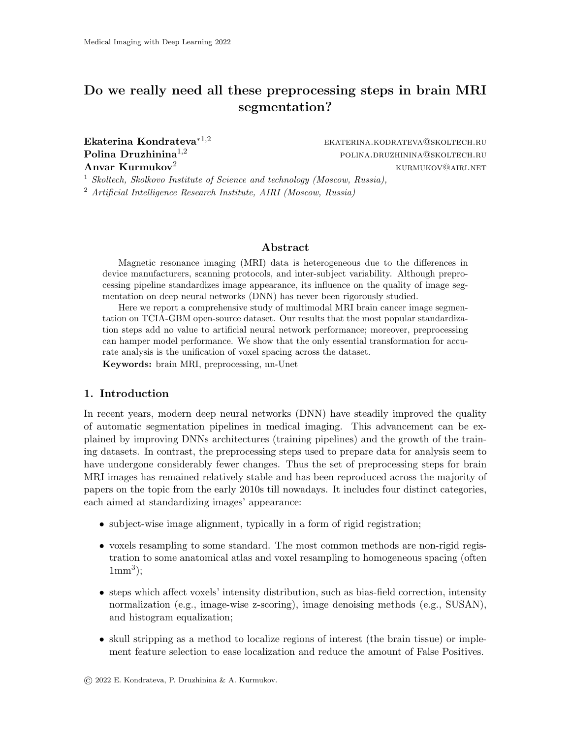# Do we really need all these preprocessing steps in brain MRI segmentation?

Ekaterina Kondrateva<sup>∗1,2</sup> eKATERINA.KODRATEVA@SKOLTECH.RU  $\mathbf{Polina\; Druzhinina}^{1,2}$  polina.druzhinina@skoltech.ru **Anvar Kurmukov**<sup>2</sup> kurmukov kurmukov kurmukov kurmukov kurmukov kurmukov kurmukov kurmukov kurmukov kurmukov kurmu

<sup>1</sup> Skoltech, Skolkovo Institute of Science and technology (Moscow, Russia),

<sup>2</sup> Artificial Intelligence Research Institute, AIRI (Moscow, Russia)

#### Abstract

Magnetic resonance imaging (MRI) data is heterogeneous due to the differences in device manufacturers, scanning protocols, and inter-subject variability. Although preprocessing pipeline standardizes image appearance, its influence on the quality of image segmentation on deep neural networks (DNN) has never been rigorously studied.

Here we report a comprehensive study of multimodal MRI brain cancer image segmentation on TCIA-GBM open-source dataset. Our results that the most popular standardization steps add no value to artificial neural network performance; moreover, preprocessing can hamper model performance. We show that the only essential transformation for accurate analysis is the unification of voxel spacing across the dataset.

Keywords: brain MRI, preprocessing, nn-Unet

## 1. Introduction

In recent years, modern deep neural networks (DNN) have steadily improved the quality of automatic segmentation pipelines in medical imaging. This advancement can be explained by improving DNNs architectures (training pipelines) and the growth of the training datasets. In contrast, the preprocessing steps used to prepare data for analysis seem to have undergone considerably fewer changes. Thus the set of preprocessing steps for brain MRI images has remained relatively stable and has been reproduced across the majority of papers on the topic from the early 2010s till nowadays. It includes four distinct categories, each aimed at standardizing images' appearance:

- subject-wise image alignment, typically in a form of rigid registration;
- voxels resampling to some standard. The most common methods are non-rigid registration to some anatomical atlas and voxel resampling to homogeneous spacing (often  $1mm<sup>3</sup>$ );
- steps which affect voxels' intensity distribution, such as bias-field correction, intensity normalization (e.g., image-wise z-scoring), image denoising methods (e.g., SUSAN), and histogram equalization;
- skull stripping as a method to localize regions of interest (the brain tissue) or implement feature selection to ease localization and reduce the amount of False Positives.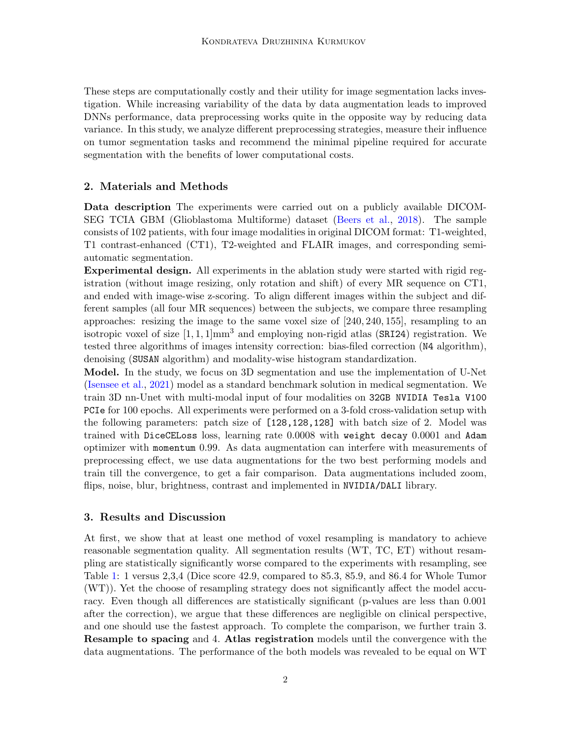These steps are computationally costly and their utility for image segmentation lacks investigation. While increasing variability of the data by data augmentation leads to improved DNNs performance, data preprocessing works quite in the opposite way by reducing data variance. In this study, we analyze different preprocessing strategies, measure their influence on tumor segmentation tasks and recommend the minimal pipeline required for accurate segmentation with the benefits of lower computational costs.

## 2. Materials and Methods

Data description The experiments were carried out on a publicly available DICOM-SEG TCIA GBM (Glioblastoma Multiforme) dataset [\(Beers et al.,](#page-2-0) [2018\)](#page-2-0). The sample consists of 102 patients, with four image modalities in original DICOM format: T1-weighted, T1 contrast-enhanced (CT1), T2-weighted and FLAIR images, and corresponding semiautomatic segmentation.

Experimental design. All experiments in the ablation study were started with rigid registration (without image resizing, only rotation and shift) of every MR sequence on CT1, and ended with image-wise z-scoring. To align different images within the subject and different samples (all four MR sequences) between the subjects, we compare three resampling approaches: resizing the image to the same voxel size of [240, 240, 155], resampling to an isotropic voxel of size  $[1, 1, 1]$ mm<sup>3</sup> and employing non-rigid atlas (SRI24) registration. We tested three algorithms of images intensity correction: bias-filed correction (N4 algorithm), denoising (SUSAN algorithm) and modality-wise histogram standardization.

Model. In the study, we focus on 3D segmentation and use the implementation of U-Net [\(Isensee et al.,](#page-2-1) [2021\)](#page-2-1) model as a standard benchmark solution in medical segmentation. We train 3D nn-Unet with multi-modal input of four modalities on 32GB NVIDIA Tesla V100 PCIe for 100 epochs. All experiments were performed on a 3-fold cross-validation setup with the following parameters: patch size of [128,128,128] with batch size of 2. Model was trained with DiceCELoss loss, learning rate 0.0008 with weight decay 0.0001 and Adam optimizer with momentum 0.99. As data augmentation can interfere with measurements of preprocessing effect, we use data augmentations for the two best performing models and train till the convergence, to get a fair comparison. Data augmentations included zoom, flips, noise, blur, brightness, contrast and implemented in NVIDIA/DALI library.

### 3. Results and Discussion

At first, we show that at least one method of voxel resampling is mandatory to achieve reasonable segmentation quality. All segmentation results (WT, TC, ET) without resampling are statistically significantly worse compared to the experiments with resampling, see Table [1:](#page-2-2) 1 versus 2,3,4 (Dice score 42.9, compared to 85.3, 85.9, and 86.4 for Whole Tumor (WT)). Yet the choose of resampling strategy does not significantly affect the model accuracy. Even though all differences are statistically significant (p-values are less than 0.001 after the correction), we argue that these differences are negligible on clinical perspective, and one should use the fastest approach. To complete the comparison, we further train 3. Resample to spacing and 4. Atlas registration models until the convergence with the data augmentations. The performance of the both models was revealed to be equal on WT